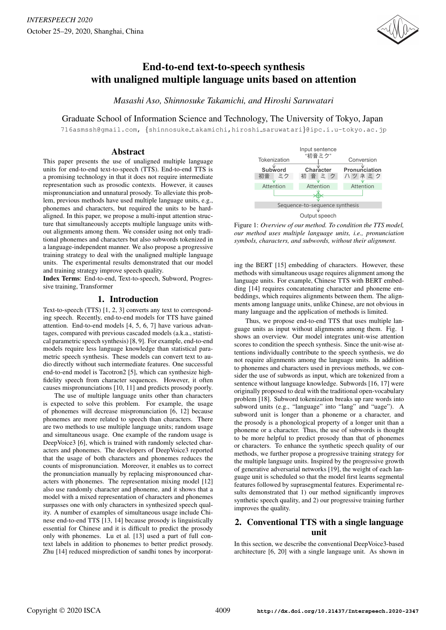

# End-to-end text-to-speech synthesis with unaligned multiple language units based on attention

*Masashi Aso, Shinnosuke Takamichi, and Hiroshi Saruwatari*

Graduate School of Information Science and Technology, The University of Tokyo, Japan

716asmssh@gmail.com, {shinnosuke takamichi,hiroshi saruwatari}@ipc.i.u-tokyo.ac.jp

## Abstract

This paper presents the use of unaligned multiple language units for end-to-end text-to-speech (TTS). End-to-end TTS is a promising technology in that it does not require intermediate representation such as prosodic contexts. However, it causes mispronunciation and unnatural prosody. To alleviate this problem, previous methods have used multiple language units, e.g., phonemes and characters, but required the units to be hardaligned. In this paper, we propose a multi-input attention structure that simultaneously accepts multiple language units without alignments among them. We consider using not only traditional phonemes and characters but also subwords tokenized in a language-independent manner. We also propose a progressive training strategy to deal with the unaligned multiple language units. The experimental results demonstrated that our model and training strategy improve speech quality.

Index Terms: End-to-end, Text-to-speech, Subword, Progressive training, Transformer

# 1. Introduction

Text-to-speech (TTS) [1, 2, 3] converts any text to corresponding speech. Recently, end-to-end models for TTS have gained attention. End-to-end models [4, 5, 6, 7] have various advantages, compared with previous cascaded models (a.k.a., statistical parametric speech synthesis) [8, 9]. For example, end-to-end models require less language knowledge than statistical parametric speech synthesis. These models can convert text to audio directly without such intermediate features. One successful end-to-end model is Tacotron2 [5], which can synthesize highfidelity speech from character sequences. However, it often causes mispronunciations [10, 11] and predicts prosody poorly.

The use of multiple language units other than characters is expected to solve this problem. For example, the usage of phonemes will decrease mispronunciation [6, 12] because phonemes are more related to speech than characters. There are two methods to use multiple language units; random usage and simultaneous usage. One example of the random usage is DeepVoice3 [6], which is trained with randomly selected characters and phonemes. The developers of DeepVoice3 reported that the usage of both characters and phonemes reduces the counts of mispronunciation. Moreover, it enables us to correct the pronunciation manually by replacing mispronounced characters with phonemes. The representation mixing model [12] also use randomly character and phoneme, and it shows that a model with a mixed representation of characters and phonemes surpasses one with only characters in synthesized speech quality. A number of examples of simultaneous usage include Chinese end-to-end TTS [13, 14] because prosody is linguistically essential for Chinese and it is difficult to predict the prosody only with phonemes. Lu et al. [13] used a part of full context labels in addition to phonemes to better predict prosody. Zhu [14] reduced misprediction of sandhi tones by incorporat-



Figure 1: *Overview of our method. To condition the TTS model, our method uses multiple language units, i.e., pronunciation symbols, characters, and subwords, without their alignment.*

ing the BERT [15] embedding of characters. However, these methods with simultaneous usage requires alignment among the language units. For example, Chinese TTS with BERT embedding [14] requires concatenating character and phoneme embeddings, which requires alignments between them. The alignments among language units, unlike Chinese, are not obvious in many language and the application of methods is limited.

Thus, we propose end-to-end TTS that uses multiple language units as input without alignments among them. Fig. 1 shows an overview. Our model integrates unit-wise attention scores to condition the speech synthesis. Since the unit-wise attentions individually contribute to the speech synthesis, we do not require alignments among the language units. In addition to phonemes and characters used in previous methods, we consider the use of subwords as input, which are tokenized from a sentence without language knowledge. Subwords [16, 17] were originally proposed to deal with the traditional open-vocabulary problem [18]. Subword tokenization breaks up rare words into subword units (e.g., "language" into "lang" and "uage"). A subword unit is longer than a phoneme or a character, and the prosody is a phonological property of a longer unit than a phoneme or a character. Thus, the use of subwords is thought to be more helpful to predict prosody than that of phonemes or characters. To enhance the synthetic speech quality of our methods, we further propose a progressive training strategy for the multiple language units. Inspired by the progressive growth of generative adversarial networks [19], the weight of each language unit is scheduled so that the model first learns segmental features followed by suprasegmental features. Experimental results demonstrated that 1) our method significantly improves synthetic speech quality, and 2) our progressive training further improves the quality.

# 2. Conventional TTS with a single language unit

In this section, we describe the conventional DeepVoice3-based architecture [6, 20] with a single language unit. As shown in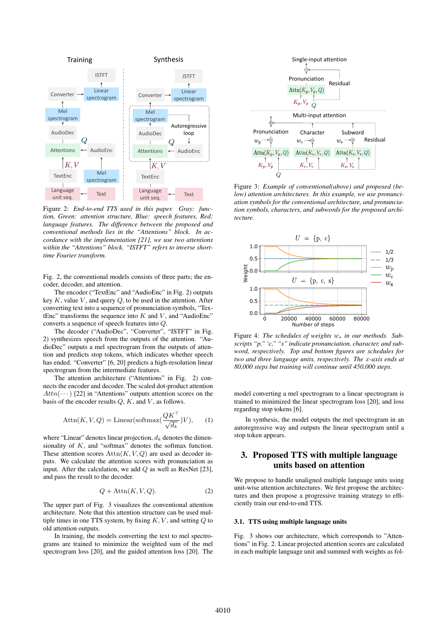

Figure 2: *End-to-end TTS used in this paper. Gray: function, Green: attention structure, Blue: speech features, Red: language features. The difference between the proposed and conventional methods lies in the "Attentions" block. In accordance with the implementation [21], we use two attentions within the "Attentions" block. "ISTFT" refers to inverse shorttime Fourier transform.*

Fig. 2, the conventional models consists of three parts; the encoder, decoder, and attention.

The encoder ("TextEnc" and "AudioEnc" in Fig. 2) outputs key  $K$ , value  $V$ , and query  $Q$ , to be used in the attention. After converting text into a sequence of pronunciation symbols, "TextEnc" transforms the sequence into  $K$  and  $V$ , and "AudioEnc" converts a sequence of speech features into Q.

The decoder ("AudioDec", "Converter", "ISTFT" in Fig. 2) synthesizes speech from the outputs of the attention. "AudioDec" outputs a mel spectrogram from the outputs of attention and predicts stop tokens, which indicates whether speech has ended. "Converter" [6, 20] predicts a high-resolution linear spectrogram from the intermediate features.

The attention architecture ("Attentions" in Fig. 2) connects the encoder and decoder. The scaled dot-product attention  $Attn(\cdots)$  [22] in "Attentions" outputs attention scores on the basis of the encoder results  $Q$ ,  $K$ , and  $V$ , as follows.

$$
Attn(K, V, Q) = Linear(softmax(\frac{QK^{\top}}{\sqrt{d_k}})V), \quad (1)
$$

where "Linear" denotes linear projection,  $d_k$  denotes the dimensionality of K, and "softmax" denotes the softmax function. These attention scores  $\text{Attn}(K, V, Q)$  are used as decoder inputs. We calculate the attention scores with pronunciation as input. After the calculation, we add  $Q$  as well as ResNet [23], and pass the result to the decoder.

$$
Q + \text{Attn}(K, V, Q). \tag{2}
$$

The upper part of Fig. 3 visualizes the conventional attention architecture. Note that this attention structure can be used multiple times in one TTS system, by fixing  $K, V$ , and setting  $Q$  to old attention outputs.

In training, the models converting the text to mel spectrograms are trained to minimize the weighted sum of the mel spectrogram loss [20], and the guided attention loss [20]. The



Figure 3: *Example of conventional(above) and proposed (below) attention architectures. In this example, we use pronunciation symbols for the conventional architecture, and pronunciation symbols, characters, and subwords for the proposed architecture.*



Figure 4: *The schedules of weights* w<sup>∗</sup> *in our methods. Subscripts "p," 'c," "s" indicate pronunciation, character, and subword, respectively. Top and bottom figures are schedules for two and three language units, respectively. The* x*-axis ends at 80,000 steps but training will continue until 450,000 steps.*

model converting a mel spectrogram to a linear spectrogram is trained to minimized the linear spectrogram loss [20], and loss regarding stop tokens [6].

In synthesis, the model outputs the mel spectrogram in an autoregressive way and outputs the linear spectrogram until a stop token appears.

# 3. Proposed TTS with multiple language units based on attention

We propose to handle unaligned multiple language units using unit-wise attention architectures. We first propose the architectures and then propose a progressive training strategy to efficiently train our end-to-end TTS.

#### 3.1. TTS using multiple language units

Fig. 3 shows our architecture, which corresponds to "Attentions" in Fig. 2. Linear projected attention scores are calculated in each multiple language unit and summed with weights as fol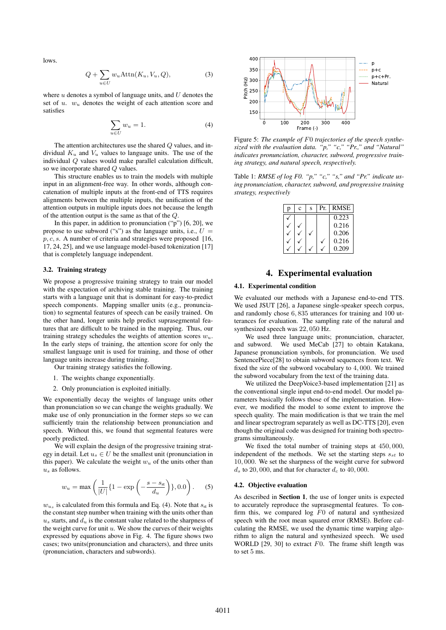lows.

$$
Q + \sum_{u \in U} w_u \text{Attn}(K_u, V_u, Q), \tag{3}
$$

where  $u$  denotes a symbol of language units, and  $U$  denotes the set of u.  $w_u$  denotes the weight of each attention score and satisfies

$$
\sum_{u \in U} w_u = 1. \tag{4}
$$

The attention architectures use the shared Q values, and individual  $K_u$  and  $V_u$  values to language units. The use of the individual Q values would make parallel calculation difficult, so we incorporate shared Q values.

This structure enables us to train the models with multiple input in an alignment-free way. In other words, although concatenation of multiple inputs at the front-end of TTS requires alignments between the multiple inputs, the unification of the attention outputs in multiple inputs does not because the length of the attention output is the same as that of the Q.

In this paper, in addition to pronunciation  $("p")$  [6, 20], we propose to use subword ("s") as the language units, i.e.,  $U =$  $p, c, s$ . A number of criteria and strategies were proposed  $[16,$ 17, 24, 25], and we use language model-based tokenization [17] that is completely language independent.

#### 3.2. Training strategy

We propose a progressive training strategy to train our model with the expectation of archiving stable training. The training starts with a language unit that is dominant for easy-to-predict speech components. Mapping smaller units (e.g., pronunciation) to segmental features of speech can be easily trained. On the other hand, longer units help predict suprasegmental features that are difficult to be trained in the mapping. Thus, our training strategy schedules the weights of attention scores  $w_u$ . In the early steps of training, the attention score for only the smallest language unit is used for training, and those of other language units increase during training.

Our training strategy satisfies the following.

- 1. The weights change exponentially.
- 2. Only pronunciation is exploited initially.

We exponentially decay the weights of language units other than pronunciation so we can change the weights gradually. We make use of only pronunciation in the former steps so we can sufficiently train the relationship between pronunciation and speech. Without this, we found that segmental features were poorly predicted.

We will explain the design of the progressive training strategy in detail. Let  $u_s \in U$  be the smallest unit (pronunciation in this paper). We calculate the weight  $w_u$  of the units other than  $u<sub>e</sub>$  as follows.

$$
w_u = \max\left(\frac{1}{|U|}\left\{1 - \exp\left(-\frac{s - s_{\rm st}}{d_u}\right)\right\}, 0.0\right). \tag{5}
$$

 $w_{u_s}$  is calculated from this formula and Eq. (4). Note that  $s_{st}$  is the constant step number when training with the units other than  $u<sub>s</sub>$  starts, and  $d<sub>u</sub>$  is the constant value related to the sharpness of the weight curve for unit  $u$ . We show the curves of their weights expressed by equations above in Fig. 4. The figure shows two cases; two units(pronunciation and characters), and three units (pronunciation, characters and subwords).



Figure 5: *The example of* F0 *trajectories of the speech synthesized with the evaluation data. "p," "c," "Pr.," and "Natural" indicates pronunciation, character, subword, progressive training strategy, and natural speech, respectively.*

Table 1: *RMSE of log F0. "p," "c," "s," and "Pr." indicate using pronunciation, character, subword, and progressive training strategy, respectively*

| p | c | S | <b>RMSE</b> |
|---|---|---|-------------|
|   |   |   | 0.223       |
|   |   |   | 0.216       |
|   |   |   | 0.206       |
|   |   |   | 0.216       |
|   |   |   | 0.209       |

# 4. Experimental evaluation

### 4.1. Experimental condition

We evaluated our methods with a Japanese end-to-end TTS. We used JSUT [26], a Japanese single-speaker speech corpus, and randomly chose 6, 835 utterances for training and 100 utterances for evaluation. The sampling rate of the natural and synthesized speech was 22, 050 Hz.

We used three language units; pronunciation, character, and subword. We used MeCab [27] to obtain Katakana, Japanese pronunciation symbols, for pronunciation. We used SentencePiece[28] to obtain subword sequences from text. We fixed the size of the subword vocabulary to 4, 000. We trained the subword vocabulary from the text of the training data.

We utilized the DeepVoice3-based implementation [21] as the conventional single input end-to-end model. Our model parameters basically follows those of the implementation. However, we modified the model to some extent to improve the speech quality. The main modification is that we train the mel and linear spectrogram separately as well as DC-TTS [20], even though the original code was designed for training both spectrograms simultaneously.

We fixed the total number of training steps at 450, 000, independent of the methods. We set the starting steps  $s_{st}$  to 10, 000. We set the sharpness of the weight curve for subword  $d_s$  to 20, 000, and that for character  $d_c$  to 40, 000.

#### 4.2. Objective evaluation

As described in Section 1, the use of longer units is expected to accurately reproduce the suprasegmental features. To confirm this, we compared  $log$   $F0$  of natural and synthesized speech with the root mean squared error (RMSE). Before calculating the RMSE, we used the dynamic time warping algorithm to align the natural and synthesized speech. We used WORLD  $[29, 30]$  to extract  $F0$ . The frame shift length was to set 5 ms.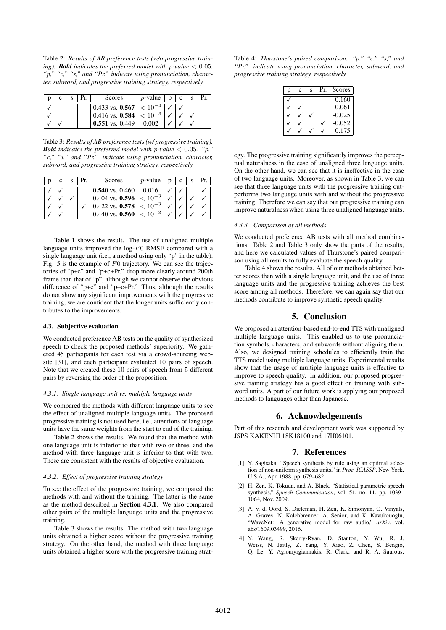Table 2: *Results of AB preference tests (w/o progressive training*). *Bold indicates the preferred model with p-value*  $< 0.05$ *. "p," "c," "s," and "Pr." indicate using pronunciation, character, subword, and progressive training strategy, respectively*

|  |  | Scores                            | p-value |  |  |
|--|--|-----------------------------------|---------|--|--|
|  |  | 0.433 vs. 0.567 $\leq 10^{-3}$    |         |  |  |
|  |  | $10.416$ vs. 0.584 $\leq 10^{-3}$ |         |  |  |
|  |  | $0.551$ vs. 0.449                 |         |  |  |

Table 3: *Results of AB preference tests (w/ progressive training). Bold* indicates the preferred model with p-value  $\langle 0.05, \degree p, \degree p \rangle$ *"c," "s," and "Pr." indicate using pronunciation, character, subword, and progressive training strategy, respectively*

|  |  | Scores                                 | $p$ -value |  |  |
|--|--|----------------------------------------|------------|--|--|
|  |  | 0.540 vs. $0.460$                      | 0.016      |  |  |
|  |  | $0.404$ vs. <b>0.596</b> $\lt 10^{-3}$ |            |  |  |
|  |  | $ 0.422 \text{ vs. } 0.578  < 10^{-3}$ |            |  |  |
|  |  | 0.440 vs. <b>0.560</b> $\leq 10^{-3}$  |            |  |  |

Table 1 shows the result. The use of unaligned multiple language units improved the  $log-F0$  RMSE compared with a single language unit (i.e., a method using only "p" in the table). Fig. 5 is the example of  $F0$  trajectory. We can see the trajectories of "p+c" and "p+c+Pr." drop more clearly around 200th frame than that of "p", although we cannot observe the obvious difference of "p+c" and "p+c+Pr." Thus, although the results do not show any significant improvements with the progressive training, we are confident that the longer units sufficiently contributes to the improvements.

#### 4.3. Subjective evaluation

We conducted preference AB tests on the quality of synthesized speech to check the proposed methods' superiority. We gathered 45 participants for each test via a crowd-sourcing website [31], and each participant evaluated 10 pairs of speech. Note that we created these 10 pairs of speech from 5 different pairs by reversing the order of the proposition.

#### *4.3.1. Single language unit vs. multiple language units*

We compared the methods with different language units to see the effect of unaligned multiple language units. The proposed progressive training is not used here, i.e., attentions of language units have the same weights from the start to end of the training.

Table 2 shows the results. We found that the method with one language unit is inferior to that with two or three, and the method with three language unit is inferior to that with two. These are consistent with the results of objective evaluation.

#### *4.3.2. Effect of progressive training strategy*

To see the effect of the progressive training, we compared the methods with and without the training. The latter is the same as the method described in Section 4.3.1. We also compared other pairs of the multiple language units and the progressive training.

Table 3 shows the results. The method with two language units obtained a higher score without the progressive training strategy. On the other hand, the method with three language units obtained a higher score with the progressive training strat-

Table 4: *Thurstone's paired comparison. "p," "c," "s," and "Pr." indicate using pronunciation, character, subword, and progressive training strategy, respectively*

| n | Ċ | S | Pr. | Scores   |
|---|---|---|-----|----------|
|   |   |   |     | $-0.160$ |
|   |   |   |     | 0.061    |
|   |   |   |     | $-0.025$ |
|   |   |   |     | $-0.052$ |
|   |   |   |     | 0.175    |

egy. The progressive training significantly improves the perceptual naturalness in the case of unaligned three language units. On the other hand, we can see that it is ineffective in the case of two language units. Moreover, as shown in Table 3, we can see that three language units with the progressive training outperforms two language units with and without the progressive training. Therefore we can say that our progressive training can improve naturalness when using three unaligned language units.

#### *4.3.3. Comparison of all methods*

We conducted preference AB tests with all method combinations. Table 2 and Table 3 only show the parts of the results, and here we calculated values of Thurstone's paired comparison using all results to fully evaluate the speech quality.

Table 4 shows the results. All of our methods obtained better scores than with a single language unit, and the use of three language units and the progressive training achieves the best score among all methods. Therefore, we can again say that our methods contribute to improve synthetic speech quality.

### 5. Conclusion

We proposed an attention-based end-to-end TTS with unaligned multiple language units. This enabled us to use pronunciation symbols, characters, and subwords without aligning them. Also, we designed training schedules to efficiently train the TTS model using multiple language units. Experimental results show that the usage of multiple language units is effective to improve to speech quality. In addition, our proposed progressive training strategy has a good effect on training with subword units. A part of our future work is applying our proposed methods to languages other than Japanese.

### 6. Acknowledgements

Part of this research and development work was supported by JSPS KAKENHI 18K18100 and 17H06101.

### 7. References

- [1] Y. Sagisaka, "Speech synthesis by rule using an optimal selection of non-uniform synthesis units," in *Proc. ICASSP*, New York, U.S.A., Apr. 1988, pp. 679–682.
- [2] H. Zen, K. Tokuda, and A. Black, "Statistical parametric speech synthesis," *Speech Communication*, vol. 51, no. 11, pp. 1039– 1064, Nov. 2009.
- [3] A. v. d. Oord, S. Dieleman, H. Zen, K. Simonyan, O. Vinyals, A. Graves, N. Kalchbrenner, A. Senior, and K. Kavukcuoglu, "WaveNet: A generative model for raw audio," *arXiv*, vol. abs/1609.03499, 2016.
- [4] Y. Wang, R. Skerry-Ryan, D. Stanton, Y. Wu, R. J. Weiss, N. Jaitly, Z. Yang, Y. Xiao, Z. Chen, S. Bengio, Q. Le, Y. Agiomyrgiannakis, R. Clark, and R. A. Saurous,